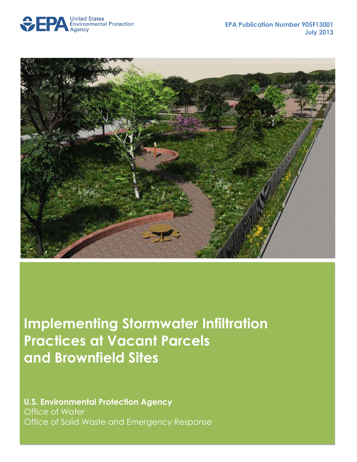



**Implementing Stormwater Infiltration Practices at Vacant Parcels and Brownfield Sites** 

**U.S. Environmental Protection Agency** Office of Water Office of Solid Waste and Emergency Response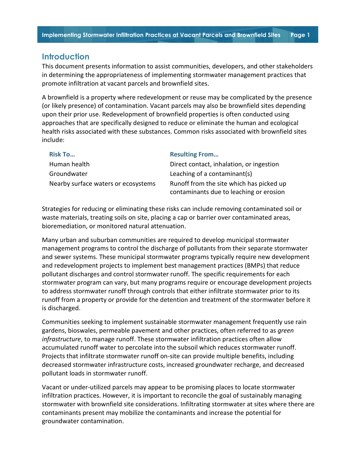## **Introduction**

This document presents information to assist communities, developers, and other stakeholders in determining the appropriateness of implementing stormwater management practices that promote infiltration at vacant parcels and brownfield sites.

A brownfield is a property where redevelopment or reuse may be complicated by the presence (or likely presence) of contamination. Vacant parcels may also be brownfield sites depending upon their prior use. Redevelopment of brownfield properties is often conducted using approaches that are specifically designed to reduce or eliminate the human and ecological health risks associated with these substances. Common risks associated with brownfield sites include:

| <b>Risk To</b>                      | <b>Resulting From</b>                    |
|-------------------------------------|------------------------------------------|
| Human health                        | Direct contact, inhalation, or ingestion |
| Groundwater                         | Leaching of a contaminant(s)             |
| Nearby surface waters or ecosystems | Runoff from the site which has picked up |
|                                     | contaminants due to leaching or erosion  |

Strategies for reducing or eliminating these risks can include removing contaminated soil or waste materials, treating soils on site, placing a cap or barrier over contaminated areas, bioremediation, or monitored natural attenuation.

Many urban and suburban communities are required to develop municipal stormwater management programs to control the discharge of pollutants from their separate stormwater and sewer systems. These municipal stormwater programs typically require new development and redevelopment projects to implement best management practices (BMPs) that reduce pollutant discharges and control stormwater runoff. The specific requirements for each stormwater program can vary, but many programs require or encourage development projects to address stormwater runoff through controls that either infiltrate stormwater prior to its runoff from a property or provide for the detention and treatment of the stormwater before it is discharged.

Communities seeking to implement sustainable stormwater management frequently use rain gardens, bioswales, permeable pavement and other practices, often referred to as *green infrastructure*, to manage runoff. These stormwater infiltration practices often allow accumulated runoff water to percolate into the subsoil which reduces stormwater runoff. Projects that infiltrate stormwater runoff on-site can provide multiple benefits, including decreased stormwater infrastructure costs, increased groundwater recharge, and decreased pollutant loads in stormwater runoff.

Vacant or under-utilized parcels may appear to be promising places to locate stormwater infiltration practices. However, it is important to reconcile the goal of sustainably managing stormwater with brownfield site considerations. Infiltrating stormwater at sites where there are contaminants present may mobilize the contaminants and increase the potential for groundwater contamination.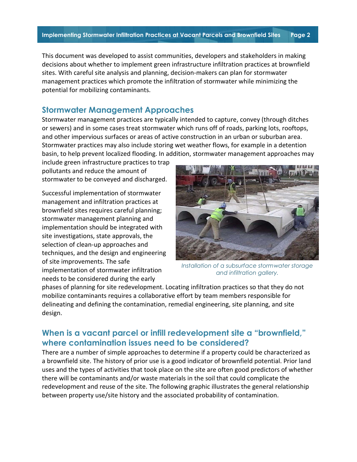This document was developed to assist communities, developers and stakeholders in making decisions about whether to implement green infrastructure infiltration practices at brownfield sites. With careful site analysis and planning, decision-makers can plan for stormwater management practices which promote the infiltration of stormwater while minimizing the potential for mobilizing contaminants.

# **Stormwater Management Approaches**

Stormwater management practices are typically intended to capture, convey (through ditches or sewers) and in some cases treat stormwater which runs off of roads, parking lots, rooftops, and other impervious surfaces or areas of active construction in an urban or suburban area. Stormwater practices may also include storing wet weather flows, for example in a detention basin, to help prevent localized flooding. In addition, stormwater management approaches may

include green infrastructure practices to trap pollutants and reduce the amount of stormwater to be conveyed and discharged.

Successful implementation of stormwater management and infiltration practices at brownfield sites requires careful planning; stormwater management planning and implementation should be integrated with site investigations, state approvals, the selection of clean-up approaches and techniques, and the design and engineering of site improvements. The safe implementation of stormwater infiltration needs to be considered during the early



*Installation of a subsurface stormwater storage and infiltration gallery.*

phases of planning for site redevelopment. Locating infiltration practices so that they do not mobilize contaminants requires a collaborative effort by team members responsible for delineating and defining the contamination, remedial engineering, site planning, and site design.

# **When is a vacant parcel or infill redevelopment site a "brownfield," where contamination issues need to be considered?**

There are a number of simple approaches to determine if a property could be characterized as a brownfield site. The history of prior use is a good indicator of brownfield potential. Prior land uses and the types of activities that took place on the site are often good predictors of whether there will be contaminants and/or waste materials in the soil that could complicate the redevelopment and reuse of the site. The following graphic illustrates the general relationship between property use/site history and the associated probability of contamination.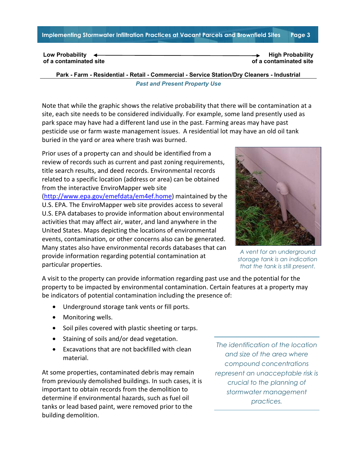**Implementing Stormwater Infiltration Practices at Vacant Parcels and Brownfield Sites Page 3** 

**Low Probability of a contaminated site High Probability of a contaminated site**

**Park - Farm - Residential - Retail - Commercial - Service Station/Dry Cleaners - Industrial** *Past and Present Property Use*

Note that while the graphic shows the relative probability that there will be contamination at a site, each site needs to be considered individually. For example, some land presently used as park space may have had a different land use in the past. Farming areas may have past pesticide use or farm waste management issues. A residential lot may have an old oil tank buried in the yard or area where trash was burned.

Prior uses of a property can and should be identified from a review of records such as current and past zoning requirements, title search results, and deed records. Environmental records related to a specific location (address or area) can be obtained from the interactive EnviroMapper web site [\(http://www.epa.gov/emefdata/em4ef.home\)](http://www.epa.gov/emefdata/em4ef.home) maintained by the

U.S. EPA. The EnviroMapper web site provides access to several U.S. EPA databases to provide information about environmental activities that may affect air, water, and land anywhere in the United States. Maps depicting the locations of environmental events, contamination, or other concerns also can be generated. Many states also have environmental records databases that can provide information regarding potential contamination at particular properties.



*A vent for an underground storage tank is an indication that the tank is still present.*

A visit to the property can provide information regarding past use and the potential for the property to be impacted by environmental contamination. Certain features at a property may be indicators of potential contamination including the presence of:

- Underground storage tank vents or fill ports.
- Monitoring wells.
- Soil piles covered with plastic sheeting or tarps.
- Staining of soils and/or dead vegetation.
- Excavations that are not backfilled with clean material.

At some properties, contaminated debris may remain from previously demolished buildings. In such cases, it is important to obtain records from the demolition to determine if environmental hazards, such as fuel oil tanks or lead based paint, were removed prior to the building demolition.

*The identification of the location and size of the area where compound concentrations represent an unacceptable risk is crucial to the planning of stormwater management practices.*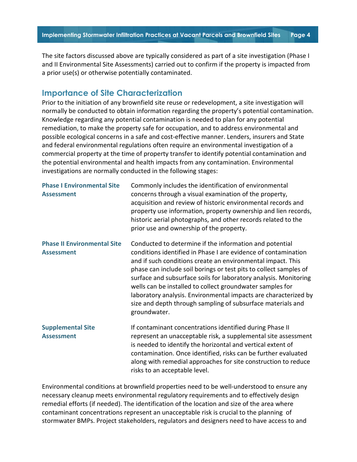The site factors discussed above are typically considered as part of a site investigation (Phase I and II Environmental Site Assessments) carried out to confirm if the property is impacted from a prior use(s) or otherwise potentially contaminated.

## **Importance of Site Characterization**

Prior to the initiation of any brownfield site reuse or redevelopment, a site investigation will normally be conducted to obtain information regarding the property's potential contamination. Knowledge regarding any potential contamination is needed to plan for any potential remediation, to make the property safe for occupation, and to address environmental and possible ecological concerns in a safe and cost-effective manner. Lenders, insurers and State and federal environmental regulations often require an environmental investigation of a commercial property at the time of property transfer to identify potential contamination and the potential environmental and health impacts from any contamination. Environmental investigations are normally conducted in the following stages:

| <b>Phase I Environmental Site</b><br><b>Assessment</b>  | Commonly includes the identification of environmental<br>concerns through a visual examination of the property,<br>acquisition and review of historic environmental records and<br>property use information, property ownership and lien records,<br>historic aerial photographs, and other records related to the<br>prior use and ownership of the property.                                                                                                                                                                                   |
|---------------------------------------------------------|--------------------------------------------------------------------------------------------------------------------------------------------------------------------------------------------------------------------------------------------------------------------------------------------------------------------------------------------------------------------------------------------------------------------------------------------------------------------------------------------------------------------------------------------------|
| <b>Phase II Environmental Site</b><br><b>Assessment</b> | Conducted to determine if the information and potential<br>conditions identified in Phase I are evidence of contamination<br>and if such conditions create an environmental impact. This<br>phase can include soil borings or test pits to collect samples of<br>surface and subsurface soils for laboratory analysis. Monitoring<br>wells can be installed to collect groundwater samples for<br>laboratory analysis. Environmental impacts are characterized by<br>size and depth through sampling of subsurface materials and<br>groundwater. |
| <b>Supplemental Site</b><br><b>Assessment</b>           | If contaminant concentrations identified during Phase II<br>represent an unacceptable risk, a supplemental site assessment<br>is needed to identify the horizontal and vertical extent of<br>contamination. Once identified, risks can be further evaluated<br>along with remedial approaches for site construction to reduce<br>risks to an acceptable level.                                                                                                                                                                                   |

Environmental conditions at brownfield properties need to be well-understood to ensure any necessary cleanup meets environmental regulatory requirements and to effectively design remedial efforts (if needed). The identification of the location and size of the area where contaminant concentrations represent an unacceptable risk is crucial to the planning of stormwater BMPs. Project stakeholders, regulators and designers need to have access to and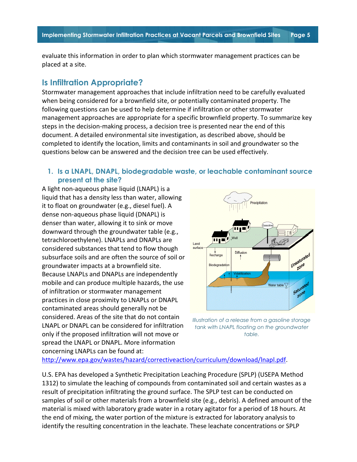evaluate this information in order to plan which stormwater management practices can be placed at a site.

## **Is Infiltration Appropriate?**

Stormwater management approaches that include infiltration need to be carefully evaluated when being considered for a brownfield site, or potentially contaminated property. The following questions can be used to help determine if infiltration or other stormwater management approaches are appropriate for a specific brownfield property. To summarize key steps in the decision-making process, a decision tree is presented near the end of this document. A detailed environmental site investigation, as described above, should be completed to identify the location, limits and contaminants in soil and groundwater so the questions below can be answered and the decision tree can be used effectively.

## **1. Is a LNAPL, DNAPL, biodegradable waste, or leachable contaminant source present at the site?**

A light non-aqueous phase liquid (LNAPL) is a liquid that has a density less than water, allowing it to float on groundwater (e.g., diesel fuel). A dense non-aqueous phase liquid (DNAPL) is denser than water, allowing it to sink or move downward through the groundwater table (e.g., tetrachloroethylene). LNAPLs and DNAPLs are considered substances that tend to flow though subsurface soils and are often the source of soil or groundwater impacts at a brownfield site. Because LNAPLs and DNAPLs are independently mobile and can produce multiple hazards, the use of infiltration or stormwater management practices in close proximity to LNAPLs or DNAPL contaminated areas should generally not be considered. Areas of the site that do not contain LNAPL or DNAPL can be considered for infiltration only if the proposed infiltration will not move or spread the LNAPL or DNAPL. More information concerning LNAPLs can be found at:



*Illustration of a release from a gasoline storage tank with LNAPL floating on the groundwater table.*

[http://www.epa.gov/wastes/hazard/correctiveaction/curriculum/download/lnapl.pdf.](http://www.epa.gov/wastes/hazard/correctiveaction/curriculum/download/lnapl.pdf)

U.S. EPA has developed a Synthetic Precipitation Leaching Procedure (SPLP) (USEPA Method 1312) to simulate the leaching of compounds from contaminated soil and certain wastes as a result of precipitation infiltrating the ground surface. The SPLP test can be conducted on samples of soil or other materials from a brownfield site (e.g., debris). A defined amount of the material is mixed with laboratory grade water in a rotary agitator for a period of 18 hours. At the end of mixing, the water portion of the mixture is extracted for laboratory analysis to identify the resulting concentration in the leachate. These leachate concentrations or SPLP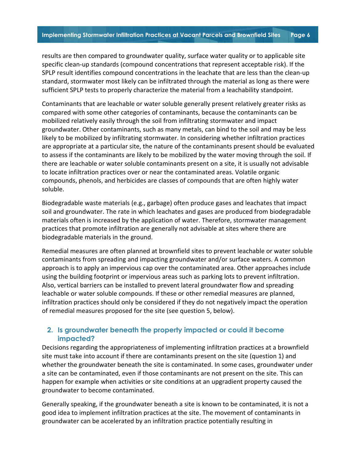results are then compared to groundwater quality, surface water quality or to applicable site specific clean-up standards (compound concentrations that represent acceptable risk). If the SPLP result identifies compound concentrations in the leachate that are less than the clean-up standard, stormwater most likely can be infiltrated through the material as long as there were sufficient SPLP tests to properly characterize the material from a leachability standpoint.

Contaminants that are leachable or water soluble generally present relatively greater risks as compared with some other categories of contaminants, because the contaminants can be mobilized relatively easily through the soil from infiltrating stormwater and impact groundwater. Other contaminants, such as many metals, can bind to the soil and may be less likely to be mobilized by infiltrating stormwater. In considering whether infiltration practices are appropriate at a particular site, the nature of the contaminants present should be evaluated to assess if the contaminants are likely to be mobilized by the water moving through the soil. If there are leachable or water soluble contaminants present on a site, it is usually not advisable to locate infiltration practices over or near the contaminated areas. Volatile organic compounds, phenols, and herbicides are classes of compounds that are often highly water soluble.

Biodegradable waste materials (e.g., garbage) often produce gases and leachates that impact soil and groundwater. The rate in which leachates and gases are produced from biodegradable materials often is increased by the application of water. Therefore, stormwater management practices that promote infiltration are generally not advisable at sites where there are biodegradable materials in the ground.

Remedial measures are often planned at brownfield sites to prevent leachable or water soluble contaminants from spreading and impacting groundwater and/or surface waters. A common approach is to apply an impervious cap over the contaminated area. Other approaches include using the building footprint or impervious areas such as parking lots to prevent infiltration. Also, vertical barriers can be installed to prevent lateral groundwater flow and spreading leachable or water soluble compounds. If these or other remedial measures are planned, infiltration practices should only be considered if they do not negatively impact the operation of remedial measures proposed for the site (see question 5, below).

## **2. Is groundwater beneath the property impacted or could it become impacted?**

Decisions regarding the appropriateness of implementing infiltration practices at a brownfield site must take into account if there are contaminants present on the site (question 1) and whether the groundwater beneath the site is contaminated. In some cases, groundwater under a site can be contaminated, even if those contaminants are not present on the site. This can happen for example when activities or site conditions at an upgradient property caused the groundwater to become contaminated.

Generally speaking, if the groundwater beneath a site is known to be contaminated, it is not a good idea to implement infiltration practices at the site. The movement of contaminants in groundwater can be accelerated by an infiltration practice potentially resulting in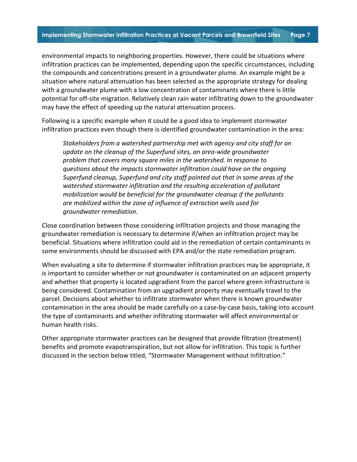environmental impacts to neighboring properties. However, there could be situations where infiltration practices can be implemented, depending upon the specific circumstances, including the compounds and concentrations present in a groundwater plume. An example might be a situation where natural attenuation has been selected as the appropriate strategy for dealing with a groundwater plume with a low concentration of contaminants where there is little potential for off-site migration. Relatively clean rain water infiltrating down to the groundwater may have the effect of speeding up the natural attenuation process.

Following is a specific example when it could be a good idea to implement stormwater infiltration practices even though there is identified groundwater contamination in the area:

*Stakeholders from a watershed partnership met with agency and city staff for an update on the cleanup of the Superfund sites, an area-wide groundwater problem that covers many square miles in the watershed. In response to questions about the impacts stormwater infiltration could have on the ongoing Superfund cleanup, Superfund and city staff pointed out that in some areas of the watershed stormwater infiltration and the resulting acceleration of pollutant mobilization would be beneficial for the groundwater cleanup if the pollutants are mobilized within the zone of influence of extraction wells used for groundwater remediation.*

Close coordination between those considering infiltration projects and those managing the groundwater remediation is necessary to determine if/when an infiltration project may be beneficial. Situations where infiltration could aid in the remediation of certain contaminants in some environments should be discussed with EPA and/or the state remediation program.

When evaluating a site to determine if stormwater infiltration practices may be appropriate, it is important to consider whether or not groundwater is contaminated on an adjacent property and whether that property is located upgradient from the parcel where green infrastructure is being considered. Contamination from an upgradient property may eventually travel to the parcel. Decisions about whether to infiltrate stormwater when there is known groundwater contamination in the area should be made carefully on a case-by-case basis, taking into account the type of contaminants and whether infiltrating stormwater will affect environmental or human health risks.

Other appropriate stormwater practices can be designed that provide filtration (treatment) benefits and promote evapotranspiration, but not allow for infiltration. This topic is further discussed in the section below titled, "Stormwater Management without Infiltration."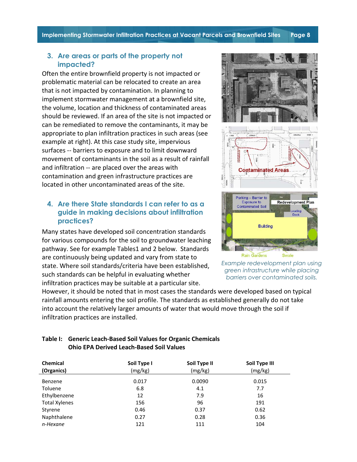**Implementing Stormwater Infiltration Practices at Vacant Parcels and Brownfield Sites Page 8** 

#### **3. Are areas or parts of the property not impacted?**

Often the entire brownfield property is not impacted or problematic material can be relocated to create an area that is not impacted by contamination. In planning to implement stormwater management at a brownfield site, the volume, location and thickness of contaminated areas should be reviewed. If an area of the site is not impacted or can be remediated to remove the contaminants, it may be appropriate to plan infiltration practices in such areas (see example at right). At this case study site, impervious surfaces -- barriers to exposure and to limit downward movement of contaminants in the soil as a result of rainfall and infiltration -- are placed over the areas with contamination and green infrastructure practices are located in other uncontaminated areas of the site.

## **4. Are there State standards I can refer to as a guide in making decisions about infiltration practices?**

Many states have developed soil concentration standards for various compounds for the soil to groundwater leaching pathway. See for example Tables1 and 2 below. Standards are continuously being updated and vary from state to state. Where soil standards/criteria have been established, such standards can be helpful in evaluating whether infiltration practices may be suitable at a particular site.

However, it should be noted that in most cases the standards were developed based on typical rainfall amounts entering the soil profile. The standards as established generally do not take into account the relatively larger amounts of water that would move through the soil if infiltration practices are installed.

| <b>Chemical</b><br>(Organics) | Soil Type I<br>(mg/kg) | Soil Type II<br>(mg/kg) | Soil Type III<br>(mg/kg) |
|-------------------------------|------------------------|-------------------------|--------------------------|
| Benzene                       | 0.017                  | 0.0090                  | 0.015                    |
| Toluene                       | 6.8                    | 4.1                     | 7.7                      |
| Ethylbenzene                  | 12                     | 7.9                     | 16                       |
| <b>Total Xylenes</b>          | 156                    | 96                      | 191                      |
| Styrene                       | 0.46                   | 0.37                    | 0.62                     |
| Naphthalene                   | 0.27                   | 0.28                    | 0.36                     |
| n-Hexane                      | 121                    | 111                     | 104                      |

#### **Table I: Generic Leach-Based Soil Values for Organic Chemicals Ohio EPA Derived Leach-Based Soil Values**



*Example redevelopment plan using green infrastructure while placing barriers over contaminated soils.*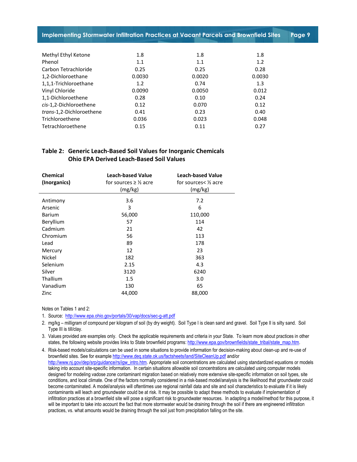**Implementing Stormwater Infiltration Practices at Vacant Parcels and Brownfield Sites Page 9** 

| Methyl Ethyl Ketone      | 1.8    | 1.8    | 1.8    |
|--------------------------|--------|--------|--------|
| Phenol                   | 1.1    | 1.1    | 1.2    |
| Carbon Tetrachloride     | 0.25   | 0.25   | 0.28   |
| 1,2-Dichloroethane       | 0.0030 | 0.0020 | 0.0030 |
| 1,1,1-Trichloroethane    | 1.2    | 0.74   | 1.3    |
| Vinyl Chloride           | 0.0090 | 0.0050 | 0.012  |
| 1,1-Dichloroethene       | 0.28   | 0.10   | 0.24   |
| cis-1,2-Dichloroethene   | 0.12   | 0.070  | 0.12   |
| trans-1,2-Dichloroethene | 0.41   | 0.23   | 0.40   |
| Trichloroethene          | 0.036  | 0.023  | 0.048  |
| Tetrachloroethene        | 0.15   | 0.11   | 0.27   |
|                          |        |        |        |

#### **Table 2: Generic Leach-Based Soil Values for Inorganic Chemicals Ohio EPA Derived Leach-Based Soil Values**

| <b>Leach-based Value</b>            | <b>Leach-based Value</b>       |
|-------------------------------------|--------------------------------|
| for sources $\geq \frac{1}{2}$ acre | for sources $\frac{1}{2}$ acre |
| (mg/kg)                             | (mg/kg)                        |
| 3.6                                 | 7.2                            |
| 3                                   | 6                              |
| 56,000                              | 110,000                        |
| 57                                  | 114                            |
| 21                                  | 42                             |
| 56                                  | 113                            |
| 89                                  | 178                            |
| 12                                  | 23                             |
| 182                                 | 363                            |
| 2.15                                | 4.3                            |
| 3120                                | 6240                           |
| $1.5\,$                             | 3.0                            |
| 130                                 | 65                             |
| 44,000                              | 88,000                         |
|                                     |                                |

Notes on Tables 1 and 2:

1. Source:<http://www.epa.ohio.gov/portals/30/vap/docs/sec-g-att.pdf>

2. mg/kg – milligram of compound per kilogram of soil (by dry weight). Soil Type I is clean sand and gravel. Soil Type II is silty sand. Soil Type III is till/clay.

3. Values provided are examples only. Check the applicable requirements and criteria in your State. To learn more about practices in other states, the following website provides links to State brownfield programs: [http://www.epa.gov/brownfields/state\\_tribal/state\\_map.htm.](http://www.epa.gov/brownfields/state_tribal/state_map.htm)

4. Risk-based models/calculations can be used in some situations to provide information for decision-making about clean-up and re-use of brownfield sites. See for exampl[e http://www.deq.state.ok.us/factsheets/land/SiteCleanUp.pdf](http://www.deq.state.ok.us/factsheets/land/SiteCleanUp.pdf) and/or [http://www.nj.gov/dep/srp/guidance/rs/igw\\_intro.htm.](http://www.nj.gov/dep/srp/guidance/rs/igw_intro.htm) Appropriate soil concentrations are calculated using standardized equations or models taking into account site-specific information. In certain situations allowable soil concentrations are calculated using computer models designed for modeling vadose zone contaminant migration based on relatively more extensive site-specific information on soil types, site conditions, and local climate. One of the factors normally considered in a risk-based model/analysis is the likelihood that groundwater could become contaminated. A model/analysis will oftentimes use regional rainfall data and site and soil characteristics to evaluate if it is likely contaminants will leach and groundwater could be at risk. It may be possible to adapt these methods to evaluate if implementation of infiltration practices at a brownfield site will pose a significant risk to groundwater resources. In adapting a model/method for this purpose, it will be important to take into account the fact that more stormwater would be draining through the soil if there are engineered infiltration practices, vs. what amounts would be draining through the soil just from precipitation falling on the site.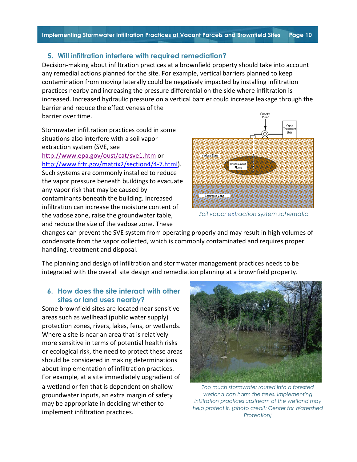## **5. Will infiltration interfere with required remediation?**

Decision-making about infiltration practices at a brownfield property should take into account any remedial actions planned for the site. For example, vertical barriers planned to keep contamination from moving laterally could be negatively impacted by installing infiltration practices nearby and increasing the pressure differential on the side where infiltration is increased. Increased hydraulic pressure on a vertical barrier could increase leakage through the barrier and reduce the effectiveness of the barrier over time.

Stormwater infiltration practices could in some situations also interfere with a soil vapor extraction system (SVE, see <http://www.epa.gov/oust/cat/sve1.htm> or [http://www.frtr.gov/matrix2/section4/4-7.html\)](http://www.frtr.gov/matrix2/section4/4-7.html). Such systems are commonly installed to reduce the vapor pressure beneath buildings to evacuate any vapor risk that may be caused by contaminants beneath the building. Increased infiltration can increase the moisture content of the vadose zone, raise the groundwater table, and reduce the size of the vadose zone. These



*Soil vapor extraction system schematic.*

changes can prevent the SVE system from operating properly and may result in high volumes of condensate from the vapor collected, which is commonly contaminated and requires proper handling, treatment and disposal.

The planning and design of infiltration and stormwater management practices needs to be integrated with the overall site design and remediation planning at a brownfield property.

## **6. How does the site interact with other sites or land uses nearby?**

Some brownfield sites are located near sensitive areas such as wellhead (public water supply) protection zones, rivers, lakes, fens, or wetlands. Where a site is near an area that is relatively more sensitive in terms of potential health risks or ecological risk, the need to protect these areas should be considered in making determinations about implementation of infiltration practices. For example, at a site immediately upgradient of a wetland or fen that is dependent on shallow groundwater inputs, an extra margin of safety may be appropriate in deciding whether to implement infiltration practices.



*Too much stormwater routed into a forested wetland can harm the trees. Implementing infiltration practices upstream of the wetland may help protect it. (photo credit: Center for Watershed Protection)*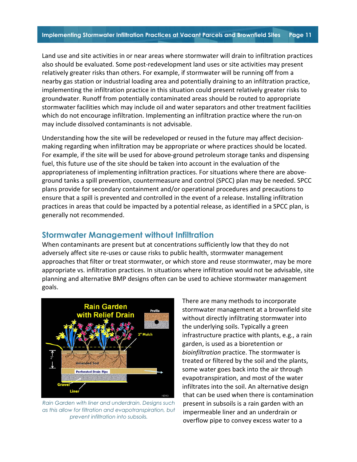Land use and site activities in or near areas where stormwater will drain to infiltration practices also should be evaluated. Some post-redevelopment land uses or site activities may present relatively greater risks than others. For example, if stormwater will be running off from a nearby gas station or industrial loading area and potentially draining to an infiltration practice, implementing the infiltration practice in this situation could present relatively greater risks to groundwater. Runoff from potentially contaminated areas should be routed to appropriate stormwater facilities which may include oil and water separators and other treatment facilities which do not encourage infiltration. Implementing an infiltration practice where the run-on may include dissolved contaminants is not advisable.

Understanding how the site will be redeveloped or reused in the future may affect decisionmaking regarding when infiltration may be appropriate or where practices should be located. For example, if the site will be used for above-ground petroleum storage tanks and dispensing fuel, this future use of the site should be taken into account in the evaluation of the appropriateness of implementing infiltration practices. For situations where there are aboveground tanks a spill prevention, countermeasure and control (SPCC) plan may be needed. SPCC plans provide for secondary containment and/or operational procedures and precautions to ensure that a spill is prevented and controlled in the event of a release. Installing infiltration practices in areas that could be impacted by a potential release, as identified in a SPCC plan, is generally not recommended.

# **Stormwater Management without Infiltration**

When contaminants are present but at concentrations sufficiently low that they do not adversely affect site re-uses or cause risks to public health, stormwater management approaches that filter or treat stormwater, or which store and reuse stormwater, may be more appropriate vs. infiltration practices. In situations where infiltration would not be advisable, site planning and alternative BMP designs often can be used to achieve stormwater management goals.



*Rain Garden with liner and underdrain. Designs such as this allow for filtration and evapotranspiration, but prevent infiltration into subsoils.*

There are many methods to incorporate stormwater management at a brownfield site without directly infiltrating stormwater into the underlying soils. Typically a green infrastructure practice with plants, e.g., a rain garden, is used as a bioretention or *bioinfiltration* practice. The stormwater is treated or filtered by the soil and the plants, some water goes back into the air through evapotranspiration, and most of the water infiltrates into the soil. An alternative design that can be used when there is contamination present in subsoils is a rain garden with an impermeable liner and an underdrain or overflow pipe to convey excess water to a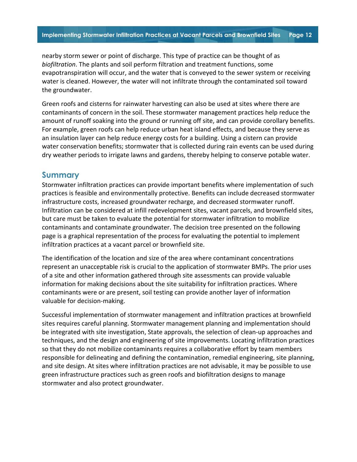nearby storm sewer or point of discharge. This type of practice can be thought of as *biofiltration*. The plants and soil perform filtration and treatment functions, some evapotranspiration will occur, and the water that is conveyed to the sewer system or receiving water is cleaned. However, the water will not infiltrate through the contaminated soil toward the groundwater.

Green roofs and cisterns for rainwater harvesting can also be used at sites where there are contaminants of concern in the soil. These stormwater management practices help reduce the amount of runoff soaking into the ground or running off site, and can provide corollary benefits. For example, green roofs can help reduce urban heat island effects, and because they serve as an insulation layer can help reduce energy costs for a building. Using a cistern can provide water conservation benefits; stormwater that is collected during rain events can be used during dry weather periods to irrigate lawns and gardens, thereby helping to conserve potable water.

### **Summary**

Stormwater infiltration practices can provide important benefits where implementation of such practices is feasible and environmentally protective. Benefits can include decreased stormwater infrastructure costs, increased groundwater recharge, and decreased stormwater runoff. Infiltration can be considered at infill redevelopment sites, vacant parcels, and brownfield sites, but care must be taken to evaluate the potential for stormwater infiltration to mobilize contaminants and contaminate groundwater. The decision tree presented on the following page is a graphical representation of the process for evaluating the potential to implement infiltration practices at a vacant parcel or brownfield site.

The identification of the location and size of the area where contaminant concentrations represent an unacceptable risk is crucial to the application of stormwater BMPs. The prior uses of a site and other information gathered through site assessments can provide valuable information for making decisions about the site suitability for infiltration practices. Where contaminants were or are present, soil testing can provide another layer of information valuable for decision-making.

Successful implementation of stormwater management and infiltration practices at brownfield sites requires careful planning. Stormwater management planning and implementation should be integrated with site investigation, State approvals, the selection of clean-up approaches and techniques, and the design and engineering of site improvements. Locating infiltration practices so that they do not mobilize contaminants requires a collaborative effort by team members responsible for delineating and defining the contamination, remedial engineering, site planning, and site design. At sites where infiltration practices are not advisable, it may be possible to use green infrastructure practices such as green roofs and biofiltration designs to manage stormwater and also protect groundwater.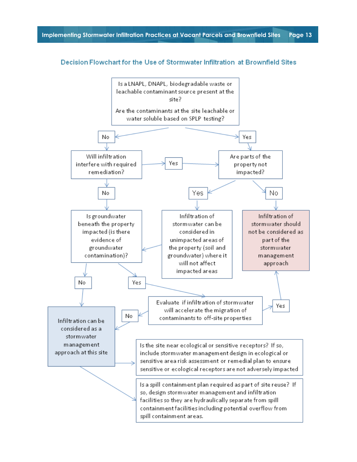#### Decision Flowchart for the Use of Stormwater Infiltration at Brownfield Sites